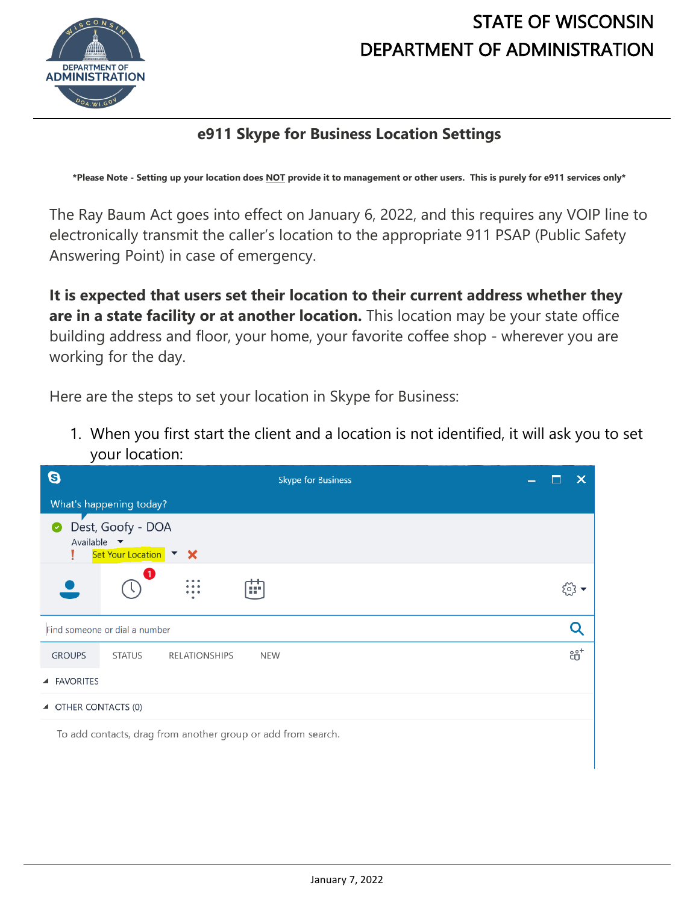

## STATE OF WISCONSIN DEPARTMENT OF ADMINISTRATION

## **e911 Skype for Business Location Settings**

**\*Please Note - Setting up your location does NOT provide it to management or other users. This is purely for e911 services only\***

The Ray Baum Act goes into effect on January 6, 2022, and this requires any VOIP line to electronically transmit the caller's location to the appropriate 911 PSAP (Public Safety Answering Point) in case of emergency.

**It is expected that users set their location to their current address whether they are in a state facility or at another location.** This location may be your state office building address and floor, your home, your favorite coffee shop - wherever you are working for the day.

Here are the steps to set your location in Skype for Business:

1. When you first start the client and a location is not identified, it will ask you to set your location:

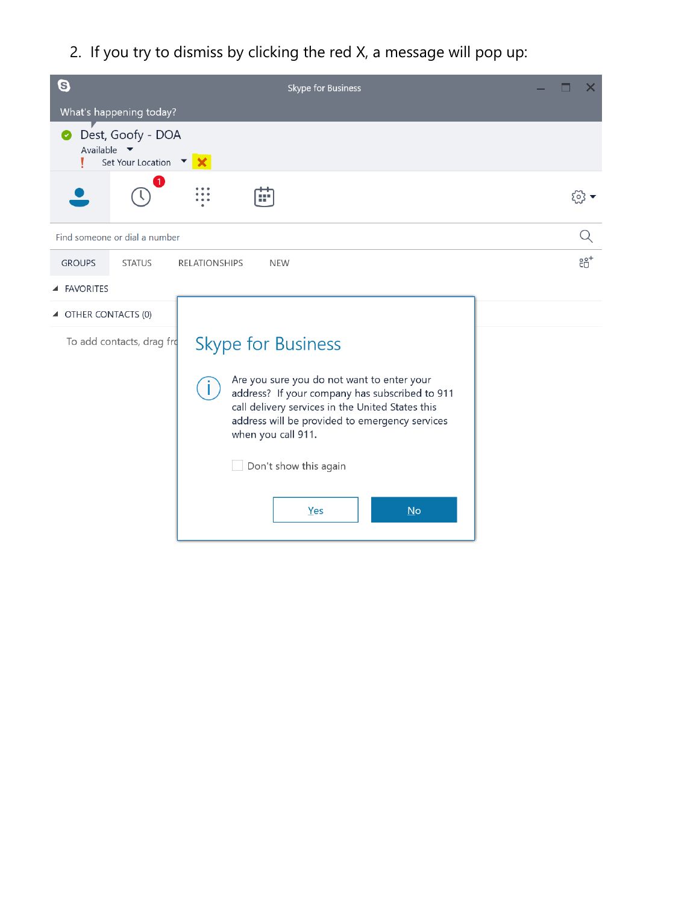2. If you try to dismiss by clicking the red X, a message will pop up:

| 0                                                                          | Skype for Business                                                                                                                                                                                                                                                                                                 | x          |
|----------------------------------------------------------------------------|--------------------------------------------------------------------------------------------------------------------------------------------------------------------------------------------------------------------------------------------------------------------------------------------------------------------|------------|
| What's happening today?                                                    |                                                                                                                                                                                                                                                                                                                    |            |
| Dest, Goofy - DOA<br>Available $\blacktriangledown$<br>Set Your Location ▼ |                                                                                                                                                                                                                                                                                                                    |            |
| 1                                                                          | ar.                                                                                                                                                                                                                                                                                                                | [০} ▼      |
| Find someone or dial a number                                              |                                                                                                                                                                                                                                                                                                                    | Q          |
| <b>GROUPS</b><br><b>STATUS</b>                                             | <b>RELATIONSHIPS</b><br><b>NEW</b>                                                                                                                                                                                                                                                                                 | $e_0^{o+}$ |
| ▲ FAVORITES                                                                |                                                                                                                                                                                                                                                                                                                    |            |
| ▲ OTHER CONTACTS (0)                                                       |                                                                                                                                                                                                                                                                                                                    |            |
| To add contacts, drag fro                                                  | <b>Skype for Business</b><br>Are you sure you do not want to enter your<br>address? If your company has subscribed to 911<br>call delivery services in the United States this<br>address will be provided to emergency services<br>when you call 911.<br>Don't show this again<br>$\underline{\mathsf{No}}$<br>Yes |            |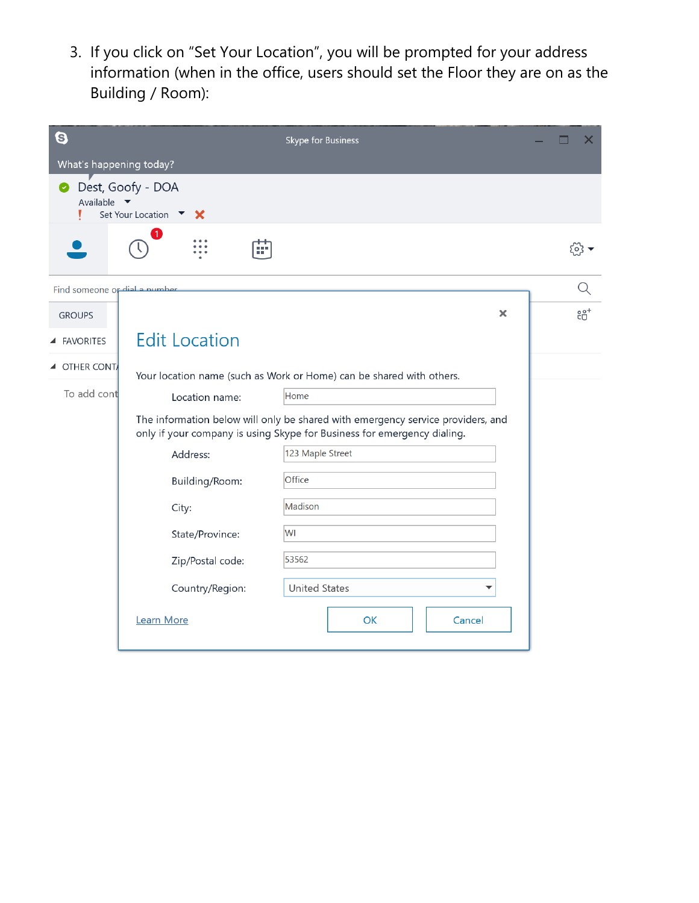3. If you click on "Set Your Location", you will be prompted for your address information (when in the office, users should set the Floor they are on as the Building / Room):

| 0                                                                                                                                                          | Skype for Business                                                   | X              |  |  |
|------------------------------------------------------------------------------------------------------------------------------------------------------------|----------------------------------------------------------------------|----------------|--|--|
| What's happening today?                                                                                                                                    |                                                                      |                |  |  |
| Available $\blacktriangledown$                                                                                                                             | Dest, Goofy - DOA<br>Set Your Location $\bullet$                     |                |  |  |
|                                                                                                                                                            | $\mathbf{1}$                                                         | ६०३            |  |  |
| Find someone or dial a number                                                                                                                              |                                                                      |                |  |  |
| <b>GROUPS</b>                                                                                                                                              | ×                                                                    | $\overline{e}$ |  |  |
| ▲ FAVORITES                                                                                                                                                | <b>Edit Location</b>                                                 |                |  |  |
| ▲ OTHER CONT                                                                                                                                               | Your location name (such as Work or Home) can be shared with others. |                |  |  |
| To add cont                                                                                                                                                | Home<br>Location name:                                               |                |  |  |
| The information below will only be shared with emergency service providers, and<br>only if your company is using Skype for Business for emergency dialing. |                                                                      |                |  |  |
|                                                                                                                                                            | 123 Maple Street<br>Address:                                         |                |  |  |
|                                                                                                                                                            | Office<br>Building/Room:                                             |                |  |  |
|                                                                                                                                                            | Madison<br>City:                                                     |                |  |  |
|                                                                                                                                                            | WI<br>State/Province:                                                |                |  |  |
|                                                                                                                                                            | 53562<br>Zip/Postal code:                                            |                |  |  |
|                                                                                                                                                            | Country/Region:<br><b>United States</b>                              |                |  |  |
|                                                                                                                                                            | Learn More<br>OK<br>Cancel                                           |                |  |  |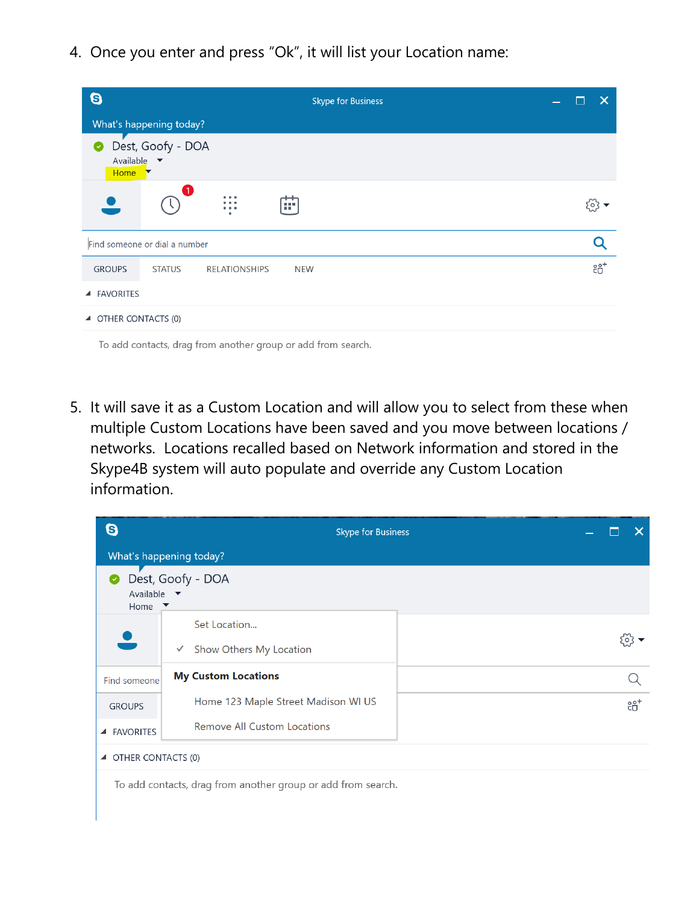4. Once you enter and press "Ok", it will list your Location name:

| $\boldsymbol{\Theta}$<br><b>Skype for Business</b>                    | X      |
|-----------------------------------------------------------------------|--------|
| What's happening today?                                               |        |
| Dest, Goofy - DOA<br>Ø<br>Available $\blacktriangledown$<br>Home<br>▼ |        |
| Œ<br>áР.                                                              |        |
| Find someone or dial a number                                         |        |
| <b>GROUPS</b><br><b>RELATIONSHIPS</b><br><b>STATUS</b><br><b>NEW</b>  | $20^+$ |
| <b>FAVORITES</b><br>$\blacktriangle$                                  |        |
| ▲ OTHER CONTACTS (0)                                                  |        |
|                                                                       |        |

To add contacts, drag from another group or add from search.

5. It will save it as a Custom Location and will allow you to select from these when multiple Custom Locations have been saved and you move between locations / networks. Locations recalled based on Network information and stored in the Skype4B system will auto populate and override any Custom Location information.



To add contacts, drag from another group or add from search.